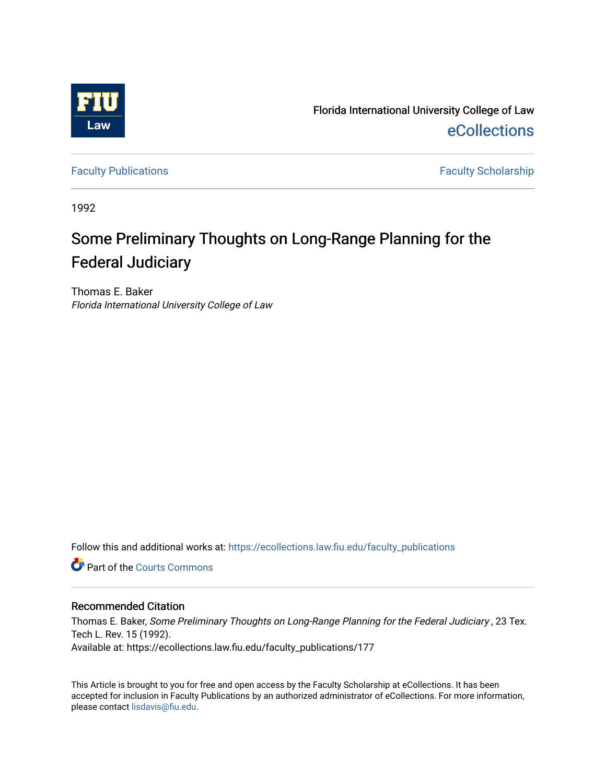

Florida International University College of Law [eCollections](https://ecollections.law.fiu.edu/) 

[Faculty Publications](https://ecollections.law.fiu.edu/faculty_publications) **Faculty Scholarship** 

1992

# Some Preliminary Thoughts on Long-Range Planning for the Federal Judiciary

Thomas E. Baker Florida International University College of Law

Follow this and additional works at: [https://ecollections.law.fiu.edu/faculty\\_publications](https://ecollections.law.fiu.edu/faculty_publications?utm_source=ecollections.law.fiu.edu%2Ffaculty_publications%2F177&utm_medium=PDF&utm_campaign=PDFCoverPages)

**C** Part of the Courts Commons

## Recommended Citation

Thomas E. Baker, Some Preliminary Thoughts on Long-Range Planning for the Federal Judiciary , 23 Tex. Tech L. Rev. 15 (1992). Available at: https://ecollections.law.fiu.edu/faculty\_publications/177

This Article is brought to you for free and open access by the Faculty Scholarship at eCollections. It has been accepted for inclusion in Faculty Publications by an authorized administrator of eCollections. For more information, please contact [lisdavis@fiu.edu](mailto:lisdavis@fiu.edu).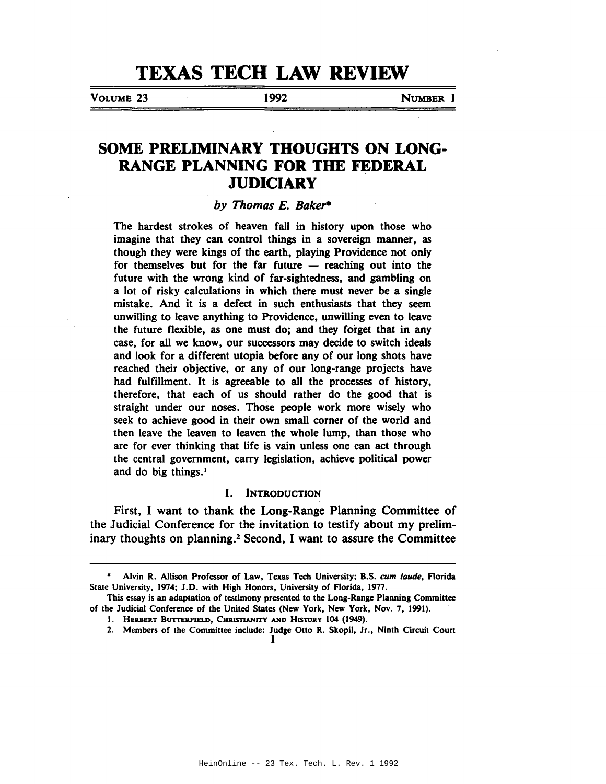# **TEXAS TECH LAW REVIEW**

VOLUME 23 1992 NUMBER 1

# **SOME PRELIMINARY THOUGHTS ON LONG-RANGE PLANNING FOR THE FEDERAL JUDICIARY**

### *by Thomas E. Bake'"*

The hardest strokes of heaven fall in history upon those who imagine that they can control things in a sovereign manner, as though they were kings of the earth, playing Providence not only for themselves but for the far future  $-$  reaching out into the future with the wrong kind of far-sightedness, and gambling on a lot of risky calculations in which there must never be a single mistake. And it is a defect in such enthusiasts that they seem unwilling to leave anything to Providence, unwilling even to leave the future flexible, as one must do; and they forget that in any case, for all we know, our successors may decide to switch ideals and look for a different utopia before any of our long shots have reached their objective, or any of our long-range projects have had fulfillment. It is agreeable to all the processes of history, therefore, that each of us should rather do the good that is straight under our noses. Those people work more wisely who seek to achieve good in their own small corner of the world and then leave the leaven to leaven the whole lump, than those who are for ever thinking that life is vain unless one can act through the central government, carry legislation, achieve political power and do big things.·

#### I. INTRODUCTION

First, I want to thank the Long-Range Planning Committee of the Judicial Conference for the invitation to testify about my preliminary thoughts on planning.2 Second, I want to assure the Committee

<sup>•</sup> Alvin R. Allison Professor of Law, Texas Tech University; B.S. *cum laude,* Florida State University, 1974; J.D. with High Honors, University of Florida, 1977.

This essay is an adaptation of testimony presented to the Long-Range Planning Committee of the Judicial Conference of the United States (New York, New York, Nov. 7, 1991).

<sup>1.</sup> HERBERT BUTTERFIELD, CHRISTIANITY AND HISTORY 104 (1949).

<sup>2.</sup> Members of the Committee include: Judge Otto R. Skopil, Jr., Ninth Circuit Court 1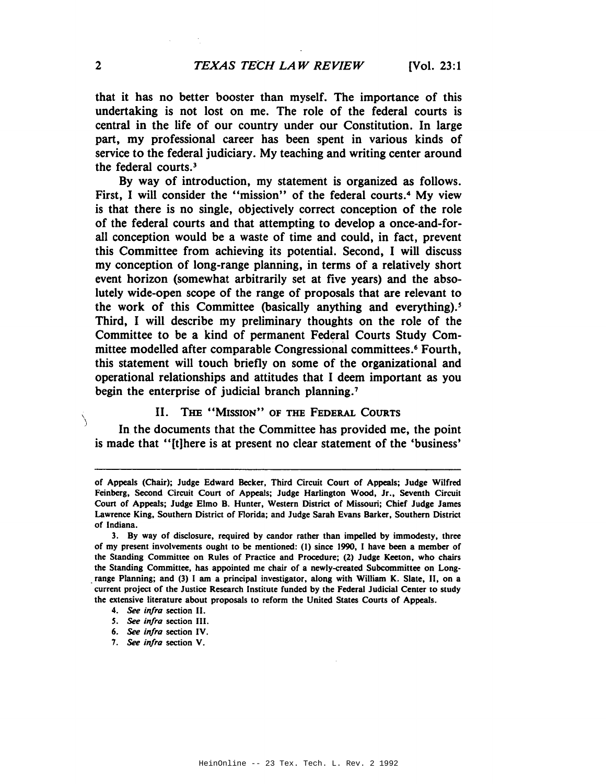that it has no better booster than myself. The importance of this undertaking is not lost on me. The role of the federal courts is central in the life of our country under our Constitution. In large part, my professional career has been spent in various kinds of service to the federal judiciary. My teaching and writing center around the federal courts. <sup>3</sup>

By way of introduction, my statement is organized as follows. First, I will consider the "mission" of the federal courts.<sup>4</sup> My view is that there is no single, objectively correct conception of the role of the federal courts and that attempting to develop a once-and-forall conception would be a waste of time and could, in fact, prevent this Committee from achieving its potential. Second, I will discuss my conception of long-range planning, in terms of a relatively short event horizon (somewhat arbitrarily set at five years) and the absolutely wide-open scope of the range of proposals that are relevant to the work of this Committee (basically anything and everything).<sup>5</sup> Third, I will describe my preliminary thoughts on the role of the Committee to be a kind of permanent Federal Courts Study Committee modelled after comparable Congressional committees.<sup>6</sup> Fourth, this statement will touch briefly on some of the organizational and operational relationships and attitudes that I deem important as you begin the enterprise of judicial branch planning.<sup>7</sup>

## II. THE "MISSION" OF THE FEDERAL COURTS

In the documents that the Committee has provided me, the point is made that "[t]here is at present no clear statement of the 'business'

 $\setminus$ 

of Appeals (Chair); Judge Edward Becker, Third Circuit Court of Appeals; Judge Wilfred Feinberg, Second Circuit Court of Appeals; Judge Harlington Wood, Jr., Seventh Circuit Court of Appeals; Judge Elmo B. Hunter, Western District of Missouri; Chief Judge James Lawrence King, Southern District of Florida; and Judge Sarah Evans Barker, Southern District of Indiana.

<sup>3.</sup> By way of disclosure, required by candor rather than impelled by immodesty, three of my present involvements ought to be mentioned: (I) since 1990, I have been a member of the Standing Committee on Rules of Practice and Procedure; (2) Judge Keeton, who chairs the Standing Committee, has appointed me chair of a newly-created Subcommittee on Long- . range Planning; and (3) I am a principal investigator, along with William K. Slate, II, on a current project of the Justice Research Institute funded by the Federal Judicial Center to study the extensive literature about proposals to reform the United States Courts of Appeals.

<sup>4.</sup> *See infra* section II.

*S. See infra* section III.

<sup>6.</sup> *See infra* section IV.

*<sup>7.</sup> See infra* section V.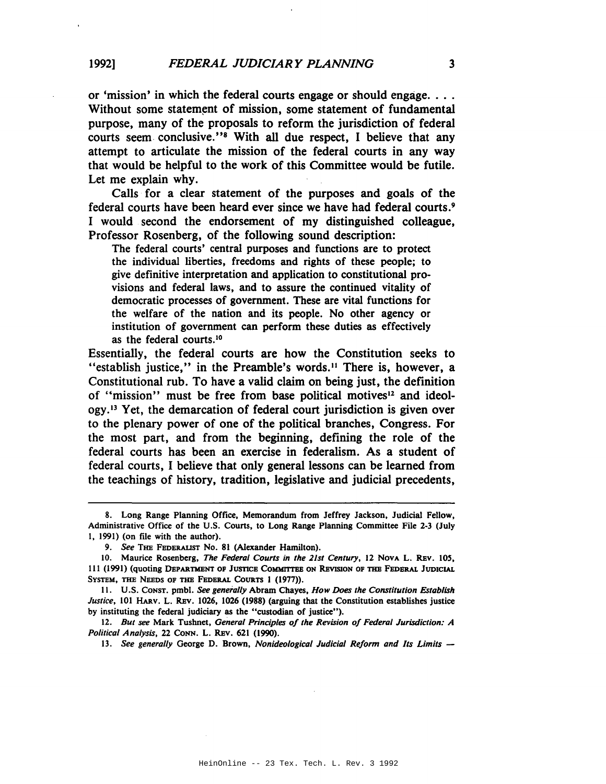or 'mission' in which the federal courts engage or should engage.... Without some statement of mission, some statement of fundamental purpose, many of the proposals to reform the jurisdiction of federal courts seem conclusive."8 With all due respect, I believe that any attempt to articulate the mission of the federal courts in any way that would be helpful to the work of this Committee would be futile. Let me explain why.

Calls for a clear statement of the purposes and goals of the federal courts have been heard ever since we have had federal courts.9 I would second the endorsement of my distinguished colleague, Professor Rosenberg, of the following sound description:

The federal courts' central purposes and functions are to protect the individual liberties, freedoms and rights of these people; to give definitive interpretation and application to constitutional provisions and federal laws, and to assure the continued vitality of democratic processes of government. These are vital functions for the welfare of the nation and its people. No other agency or institution of government can perform these duties as effectively as the federal courts.<sup>10</sup>

Essentially, the federal courts are how the Constitution seeks to "establish justice," in the Preamble's words. 1I There is, however, a Constitutional rub. To have a valid claim on being just, the definition of "mission" must be free from base political motives<sup>12</sup> and ideology.13 Yet, the demarcation of federal court jurisdiction is given over to the plenary power of one of the political branches, Congress. For the most part, and from the beginning, defining the role of the federal courts has been an exercise in federalism. As a student of federal courts, I believe that only general lessons can be learned from the teachings of history, tradition, legislative and judicial precedents,

<sup>8.</sup> Long Range Planning Office, Memorandum from Jeffrey Jackson. Judicial Fellow, Administrative Office of the U.S. Courts, to Long Range Planning Committee File 2-3 (July 1, 1991) (on file with the author).

*<sup>9.</sup> See* THE FEDERALIST No. 81 (Alexander Hamilton).

<sup>10.</sup> Maurice Rosenberg, *The Federal Courts in the 21st Century,* 12 NOVA L. REv. lOS, 111 (1991) (quoting DEPARTMENT OF JUSTICE COMMITTEE ON REVISION OF THE FEDERAL JUDICIAL SYSTEM, THE NEEDS OF THE FEDERAL COURTS 1 (1977)).

II. U.S. CONST. pmbl. *See generally* Abram Chayes, *How Does the Constitution Establish Justice,* 101 HARv. L. REv. 1026, 1026 (1988) (arguing that the Constitution establishes justice by instituting the federal judiciary as the "custodian of justice").

*<sup>12.</sup> But see* Mark Tushnet, *General Principles of the Revision of Federal Jurisdiction: A Political Analysis,* 22 CONN. L. REv. 621 (1990).

*<sup>13.</sup> See generally* George D. Brown, *Nonideological Judicial Reform and Its Limits -*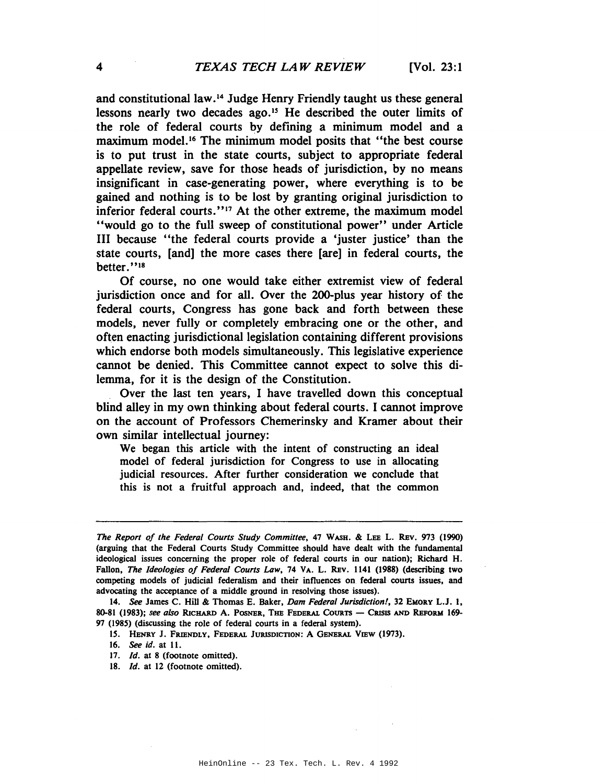and constitutional law.14 Judge Henry Friendly taught us these general lessons nearly two decades ago.<sup>15</sup> He described the outer limits of the role of federal courts by defining a minimum model and a maximum model. <sup>16</sup> The minimum model posits that "the best course is to put trust in the state courts, subject to appropriate federal appellate review, save for those heads of jurisdiction, by no means insignificant in case-generating power, where everything is to be gained and nothing is to be lost by granting original jurisdiction to inferior federal courts."<sup>17</sup> At the other extreme, the maximum model "would go to the full sweep of constitutional power" under Article III because "the federal courts provide a 'juster justice' than the state courts, [and] the more cases there [are] in federal courts, the better."<sup>18</sup>

Of course, no one would take either extremist view of federal jurisdiction once and for all. Over the 200-plus year history of the federal courts, Congress has gone back and forth between these models, never fully or completely embracing one or the other, and often enacting jurisdictional legislation containing different provisions which endorse both models simultaneously. This legislative experience cannot be denied. This Committee cannot expect to solve this dilemma, for it is the design of the Constitution.

Over the last ten years, I have travelled down this conceptual blind alley in my own thinking about federal courts. I cannot improve on the account of Professors Chemerinsky and Kramer about their own similar intellectual journey:

We began this article with the intent of constructing an ideal model of federal jurisdiction for Congress to use in allocating judicial resources. After further consideration we conclude that this is not a fruitful approach and, indeed, that the common

*The Report of the Federal Courts Study Committee,* 47 WASH. & LEE L. REv. 973 (1990) (arguing that the Federal Courts Study Committee should have dealt with the fundamental ideological issues concerning the proper role of federal courts in our nation); Richard H. Fallon, *The Ideologies of Federal Courts Law,* <sup>74</sup> VA. L. REv. <sup>1141</sup> (1988) (describing two competing models of judicial federalism and their influences on federal courts issues, and advocating the acceptance of a middle ground in resolving those issues).

*<sup>14.</sup> See* James C. Hill & Thomas E. Baker, *Dam Federal Jurisdiction!,* 32 EMORY L.J. I, 80-81 (1983); see also RICHARD A. POSNER, THE FEDERAL COURTS - CRISIS AND REFORM 169-97 (1985) (discussing the role of federal courts in a federal system).

<sup>15.</sup> HENRY J. FRIENDLY, FEDERAL JURISDICTION: A GENERAL VIEW (1973).

<sup>16.</sup> *See id.* at 11.

<sup>17.</sup> *Id.* at 8 (footnote omitted).

<sup>18.</sup> *Id.* at 12 (footnote omitted).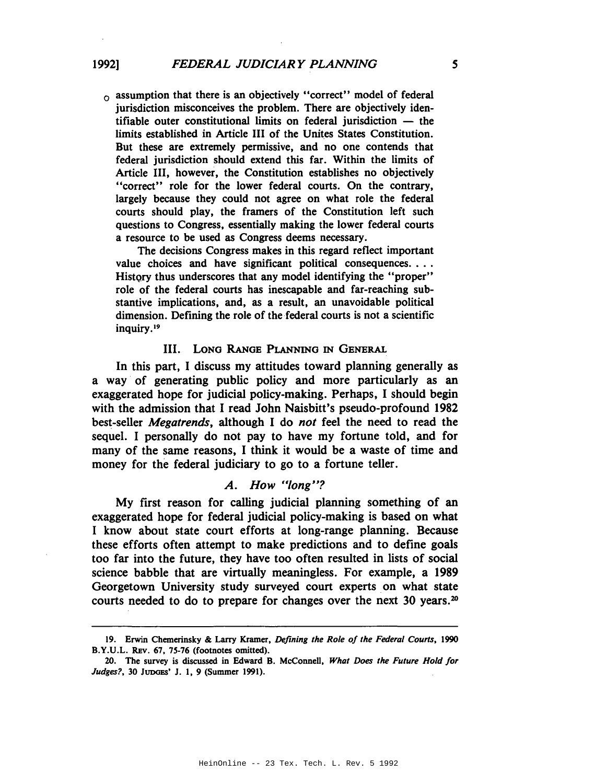$\alpha$  assumption that there is an objectively "correct" model of federal jurisdiction misconceives the problem. There are objectively identifiable outer constitutional limits on federal jurisdiction  $-$  the limits established in Article III of the Unites States Constitution. But these are extremely permissive, and no one contends that federal jurisdiction should extend this far. Within the limits of Article III, however, the Constitution establishes no objectively "correct" role for the lower federal courts. On the contrary, largely because they could not agree on what role the federal courts should play, the framers of the Constitution left such questions to Congress, essentially making the lower federal courts a resource to be used as Congress deems necessary.

The decisions Congress makes in this regard reflect important value choices and have significant political consequences.... History thus underscores that any model identifying the "proper" role of the federal courts has inescapable and far-reaching substantive implications, and, as a result, an unavoidable political dimension. Defining the role of the federal courts is not a scientific inquiry. <sup>19</sup>

#### III. LONG RANGE PLANNING IN GENERAL

In this part, I discuss my attitudes toward planning generally as a way of generating public policy and more particularly as an exaggerated hope for judicial policy-making. Perhaps, I should begin with the admission that I read John Naisbitt's pseudo-profound 1982 best-seller *Megatrends,* although I do *not* feel the need to read the sequel. I personally do not pay to have my fortune told, and for many of the same reasons, I think it would be a waste of time and money for the federal judiciary to go to a fortune teller.

# *A. How "long"?*

My first reason for calling judicial planning something of an exaggerated hope for federal judicial policy-making is based on what I know about state court efforts at long-range planning. Because these efforts often attempt to make predictions and to define goals too far into the future, they have too often resulted in lists of social science babble that are virtually meaningless. For example, a 1989 Georgetown University study surveyed court experts on what state courts needed to do to prepare for changes over the next 30 years.<sup>20</sup>

<sup>19.</sup> Erwin Chemerinsky & Larry Kramer, *Defining the Role of the Federal Courts, 1990* B.Y.V.L. REv. 67, 75-76 (footnotes omitted).

<sup>20.</sup> The survey is discussed in Edward B. McConnell, *What Does the Future Hold for Judges?,* 30 JUDGES' J. I, 9 (Summer 1991).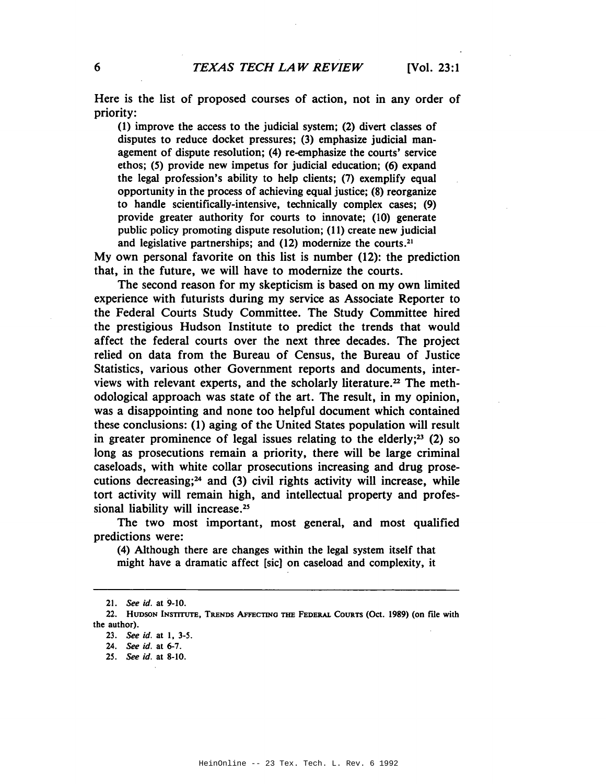Here is the list of proposed courses of action, not in any order of priority:

(I) improve the access to the judicial system; (2) divert classes of disputes to reduce docket pressures; (3) emphasize judicial management of dispute resolution; (4) re-emphasize the courts' service ethos; (5) provide new impetus for judicial education; (6) expand the legal profession's ability to help clients; (7) exemplify equal opportunity in the process of achieving equal justice; (8) reorganize to handle scientifically-intensive, technically complex cases; (9) provide greater authority for courts to innovate; (10) generate public policy promoting dispute resolution; (II) create new judicial and legislative partnerships; and  $(12)$  modernize the courts.<sup>21</sup>

My own personal favorite on this list is number (12): the prediction that, in the future, we will have to modernize the courts.

The second reason for my skepticism is based on my own limited experience with futurists during my service as Associate Reporter to the Federal Courts Study Committee. The Study Committee hired the prestigious Hudson Institute to predict the trends that would affect the federal courts over the next three decades. The project relied on data from the Bureau of Census, the Bureau of Justice Statistics, various other Government reports and documents, interviews with relevant experts, and the scholarly literature.<sup>22</sup> The methodological approach was state of the art. The result, in my opinion, was a disappointing and none too helpful document which contained these conclusions: (1) aging of the United States population will result in greater prominence of legal issues relating to the elderly;<sup>23</sup> (2) so long as prosecutions remain a priority, there will be large criminal caseloads, with white collar prosecutions increasing and drug prosecutions decreasing; $24$  and (3) civil rights activity will increase, while tort activity will remain high, and intellectual property and professional liability will increase.<sup>25</sup>

The two most important, most general, and most qualified predictions were:

(4) Although there are changes within the legal system itself that might have a dramatic affect [sic) on caseload and complexity, it

*<sup>21.</sup> See id.* at 9-10.

<sup>22.</sup> HUDSON INSTITUTE, TRENDS AFFECTING THE FEDERAL COURTS (Oct. 1989) (on file with the author).

*<sup>23.</sup> See id.* at I, 3-5.

<sup>24.</sup> See *id.* at 6-7.

*<sup>25.</sup> See id.* at 8-10.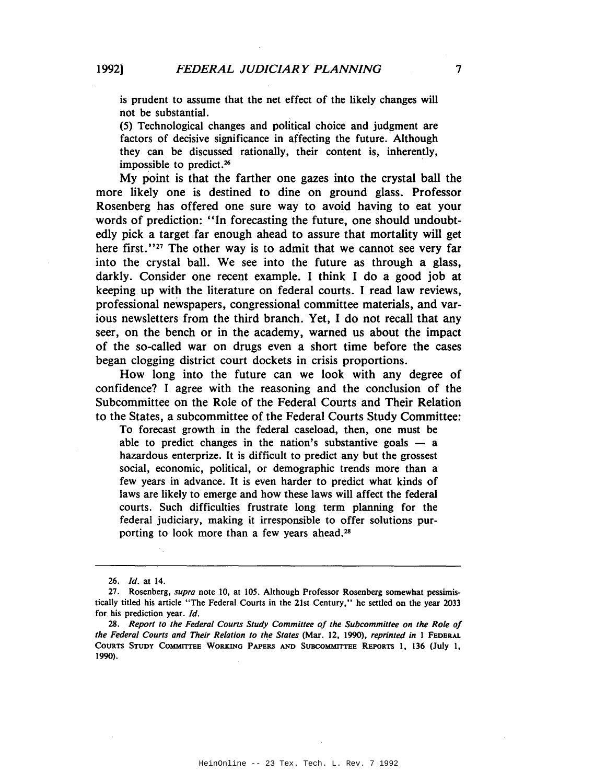is prudent to assume that the net effect of the likely changes will not be substantial.

(5) Technological changes and political choice and judgment are factors of decisive significance in affecting the future. Although they can be discussed rationally, their content is, inherently, impossible to predict.<sup>26</sup>

My point is that the farther one gazes into the crystal ball the more likely one is destined to dine on ground glass. Professor Rosenberg has offered one sure way to avoid having to eat your words of prediction: "In forecasting the future, one should undoubtedly pick a target far enough ahead to assure that mortality will get here first.''<sup>27</sup> The other way is to admit that we cannot see very far into the crystal ball. We see into the future as through a glass, darkly. Consider one recent example. I think I do a good job at keeping up with the literature on federal courts. I read law reviews, professional newspapers, congressional committee materials, and various newsletters from the third branch. Yet, I do not recall that any seer, on the bench or in the academy, warned us about the impact of the so-called war on drugs even a short time before the cases began clogging district court dockets in crisis proportions.

How long into the future can we look with any degree of confidence? I agree with the reasoning and the conclusion of the Subcommittee on the Role of the Federal Courts and Their Relation to the States, a subcommittee of the Federal Courts Study Committee:

To forecast growth in the federal caseload, then, one must be able to predict changes in the nation's substantive goals  $-$  a hazardous enterprize. It is difficult to predict any but the grossest social, economic, political, or demographic trends more than a few years in advance. It is even harder to predict what kinds of laws are likely to emerge and how these laws will affect the federal courts. Such difficulties frustrate long term planning for the federal judiciary, making it irresponsible to offer solutions purporting to look more than a few years ahead.<sup>28</sup>

<sup>26.</sup> *Id.* at 14.

<sup>27.</sup> Rosenberg, *supra* note 10, at 105. Although Professor Rosenberg somewhat pessimistically titled his article "The Federal Courts in the 21st Century," he settled on the year 2033 for his prediction year. Id.

*<sup>28.</sup> Report to the Federal Courts Study Committee of the Subcommittee on the Role of the Federal Courts and Their Relation to the States* (Mar. 12, 1990), *reprinted in* 1 FEDERAL COURTS STUDY COMMITTEE WORKING PAPERS AND SUBCOMMITTEE REpORTS I, 136 (July I, 1990).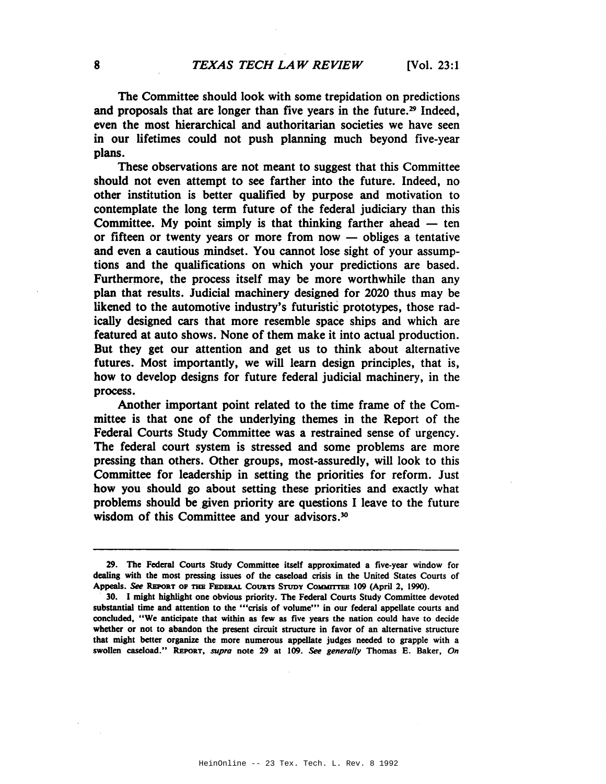The Committee should look with some trepidation on predictions and proposals that are longer than five years in the future.<sup>29</sup> Indeed, even the most hierarchical and authoritarian societies we have seen in our lifetimes could not push planning much beyond five-year plans.

These observations are not meant to suggest that this Committee should not even attempt to see farther into the future. Indeed, no other institution is better qualified by purpose and motivation to contemplate the long term future of the federal judiciary than this Committee. My point simply is that thinking farther ahead  $-$  ten or fifteen or twenty years or more from now  $-$  obliges a tentative and even a cautious mindset. You cannot lose sight of your assumptions and the qualifications on which your predictions are based. Furthermore, the process itself may be more worthwhile than any plan that results. Judicial machinery designed for 2020 thus may be likened to the automotive industry's futuristic prototypes, those radically designed cars that more resemble space ships and which are featured at auto shows. None of them make it into actual production. But they get our attention and get us to think about alternative futures. Most importantly, we will learn design principles, that is, how to develop designs for future federal judicial machinery, in the process.

Another important point related to the time frame of the Committee is that one of the underlying themes in the Report of the Federal Courts Study Committee was a restrained sense of urgency. The federal court system is stressed and some problems are more pressing than others. Other groups, most-assuredly, will look to this Committee for leadership in setting the priorities for reform. Just how you should go about setting these priorities and exactly what problems should be given priority are questions I leave to the future wisdom of this Committee and your advisors.<sup>30</sup>

<sup>29.</sup> The Federal Courts Study Committee itself approximated a five-year window for dealing with the most pressing issues of the caseload crisis in the United States Courts of Appeals. See REPORT OF THE FEDERAL COURTS STUDY COMMITTEE 109 (April 2, 1990).

*<sup>.</sup> 30.* I might highlight one obvious priority. The Federal Courts Study Committee devoted substantial time and attention to the "'crisis of volume'" in our federal appellate courts and concluded, "We anticipate that within as few as five years the nation could have to decide whether or not to abandon the present circuit structure in favor of an alternative structure that might better organize the more numerous appellate judges needed to grapple with a swollen caseload." REPoRT, *supra* note 29 at *109. See generally* Thomas E. Baker, *On*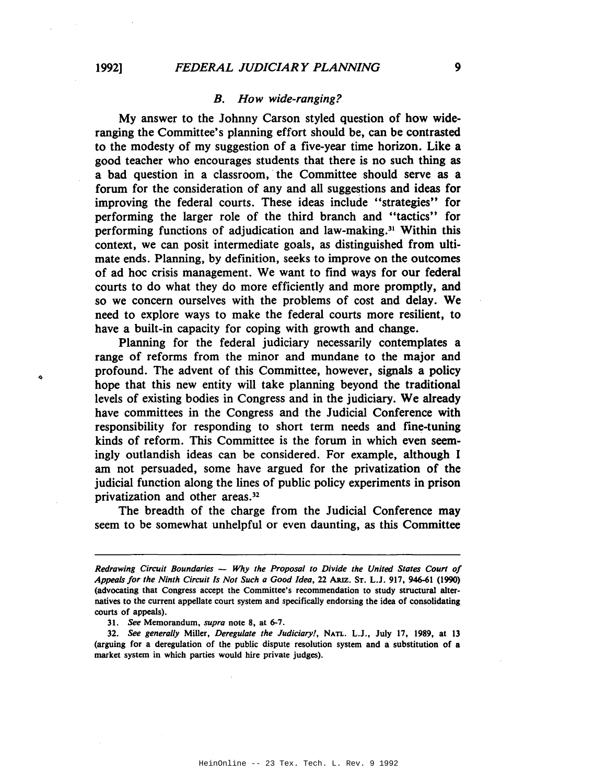#### *B. How wide-ranging?*

My answer to the Johnny Carson styled question of how wideranging the Committee's planning effort should be, can be contrasted to the modesty of my suggestion of a five-year time horizon. Like a good teacher who encourages students that there is no such thing as a bad question in a classroom, the Committee should serve as a forum for the consideration of any and all suggestions and ideas for improving the federal courts. These ideas include "strategies" for performing the larger role of the third branch and "tactics" for performing functions of adjudication and law-making.<sup>31</sup> Within this context, we can posit intermediate goals, as distinguished from ultimate ends. Planning, by definition, seeks to improve on the outcomes of ad hoc crisis management. We want to find ways for our federal courts to do what they do more efficiently and more promptly, and so we concern ourselves with the problems of cost and delay. We need to explore ways to make the federal courts more resilient, to have a built-in capacity for coping with growth and change.

Planning for the federal judiciary necessarily contemplates a range of reforms from the minor and mundane to the major and profound. The advent of this Committee, however, signals a policy hope that this new entity will take planning beyond the traditional levels of existing bodies in Congress and in the judiciary. We already have committees in the Congress and the Judicial Conference with responsibility for responding to short term needs and fine-tuning kinds of reform. This Committee is the forum in which even seemingly outlandish ideas can be considered. For example, although I am not persuaded, some have argued for the privatization of the judicial function along the lines of public policy experiments in prison privatization and other areas. <sup>32</sup>

The breadth of the charge from the Judicial Conference may seem to be somewhat unhelpful or even daunting, as this Committee

*31. See* Memorandum, *supra* note 8, at 6-7.

*32. See generally* Miller, *Deregulate the Judiciary!,* NATL. L.J., July 17, 1989, at 13 (arguing for a deregulation of the public dispute resolution system and a substitution of a market system in which parties would hire private judges).

 $\ddot{\phantom{0}}$ 

*Redrawing Circuit Boundaries* - *Why the Proposal to Divide the United States Court 01 Appealslor the Ninth Circuit Is Not Such a Good Idea.* 22 ARIz. ST. L.J. 917. 946-61 (1990) (advocating that Congress accept the Committee's recommendation to study structural alternatives to the current appellate court system and specifically endorsing the idea of consolidating courts of appeals).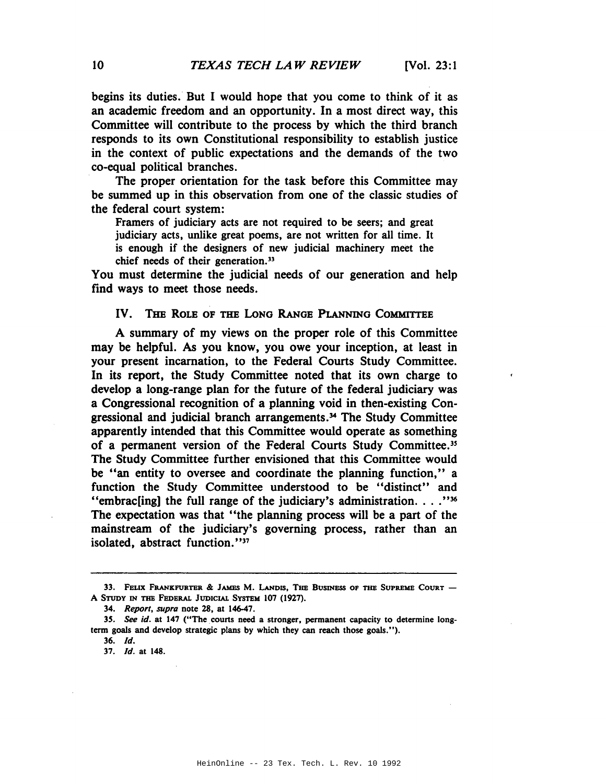begins its duties. But I would hope that you come to think of it as an academic freedom and an opportunity. In a most direct way, this Committee will contribute to the process by which the third branch responds to its own Constitutional responsibility to establish justice in the context of public expectations and the demands of the two co-equal political branches.

The proper orientation for the task before this Committee may be summed up in this observation from one of the classic studies of the federal court system:

Framers of judiciary acts are not required to be seers; and great judiciary acts, unlike great poems, are not written for all time. It is enough if the designers of new judicial machinery meet the chief needs of their generation.<sup>33</sup>

You must determine the judicial needs of our generation and help find ways to meet those needs.

#### IV. THE ROLE OF THE LoNG RANGE PLANNING COMMITTEE

A summary of my views on the proper role of this Committee may be helpful. As you know, you owe your inception, at least in your present incarnation, to the Federal Courts Study Committee. In its report, the Study Committee noted that its own charge to develop a long-range plan for the future of the federal judiciary was a Congressional recognition of a planning void in then-existing Congressional and judicial branch arrangements.34 The Study Committee apparently intended that this Committee would operate as something of a permanent version of the Federal Courts Study Committee.<sup>35</sup> The Study Committee further envisioned that this Committee would be "an entity to oversee and coordinate the planning function," a function the Study Committee understood to be "distinct" and "embrac[ing] the full range of the judiciary's administration...."<sup>36</sup> The expectation was that "the planning process will be a part of the mainstream of the judiciary's governing process, rather than an isolated, abstract function."<sup>37</sup>

<sup>33.</sup> FELIX FRANKFURTER & JAMES M. LANDIS, THE BUSINESS OF THE SUPREME COURT -A STUDY IN THE FEDERAL JUDICIAL SYSTEM 107 (1927).

*<sup>34.</sup> Report, supra* note 28, at 146-47.

*<sup>35.</sup>* See *id.* at 147 ("The courts need a stronger, permanent capacity to delermine longterm goals and develop strategic plans by which they can reach those goals.").

*<sup>36.</sup> [d.*

*<sup>37.</sup> [d.* at 148.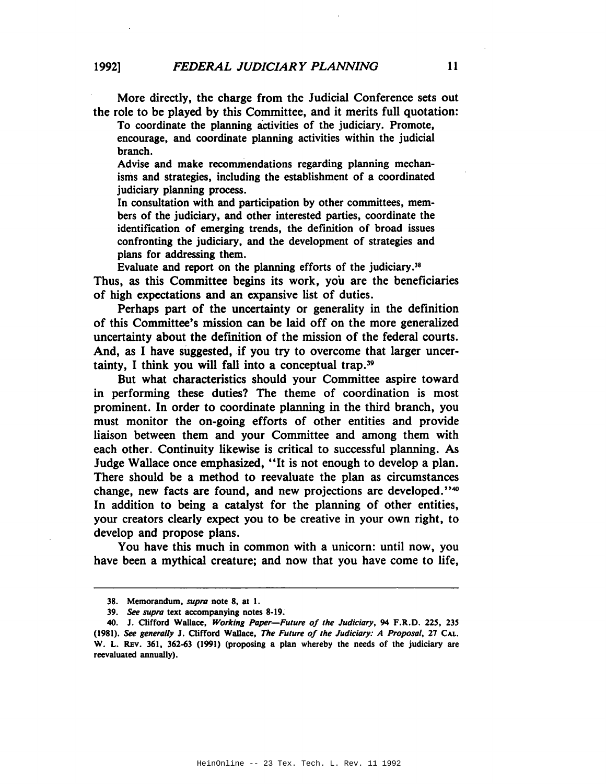More directly, the charge from the Judicial Conference sets out the role to be played by this Committee, and it merits full quotation:

To coordinate the planning activities of the judiciary. Promote, encourage, and coordinate planning activities within the judicial branch.

Advise and make recommendations regarding planning mechanisms and strategies, including the establishment of a coordinated judiciary planning process.

In consultation with and participation by other committees, members of the judiciary, and other interested parties, coordinate the identification of emerging trends, the definition of broad issues confronting the judiciary, and the development of strategies and plans for addressing them.

Evaluate and report on the planning efforts of the judiciary.<sup>38</sup> Thus, as this Committee begins its work, you are the beneficiaries of high expectations and an expansive list of duties.

Perhaps part of the uncertainty or generality in the definition of this Committee's mission can be laid off on the more generalized uncertainty about the definition of the mission of the federal courts. And, as I have suggested, if you try to overcome that larger uncertainty, I think you will fall into a conceptual trap.39

But what characteristics should your Committee aspire toward in performing these duties? The theme of coordination is most prominent. In order to coordinate planning in the third branch, you must monitor the on-going efforts of other entities and provide liaison between them and your Committee and among them with each other. Continuity likewise is critical to successful planning. As Judge Wallace once emphasized, "It is not enough to develop a plan. There should be a method to reevaluate the plan as circumstances change, new facts are found, and new projections are developed."4O In addition to being a catalyst for the planning of other entities, your creators clearly expect you to be creative in your own right, to develop and propose plans.

You have this much in common with a unicorn: until now, you have been a mythical creature; and now that you have come to life,

<sup>38.</sup> Memorandum, *supra* note 8, at I.

*<sup>39.</sup> see supra* text accompanying notes 8-19.

<sup>40.</sup> J. Clifford Wallace, *Working Paper-Future of the Judiciary,* 94 F.R.D. 225, 235 *(1981). see generally* J. Clifford Wallace, *The Future of the Judiciary: A Proposal,* 27 CAL. W. L. REv. 361, 362-63 (1991) (proposing a plan whereby the needs of the judiciary are reevaluated annually).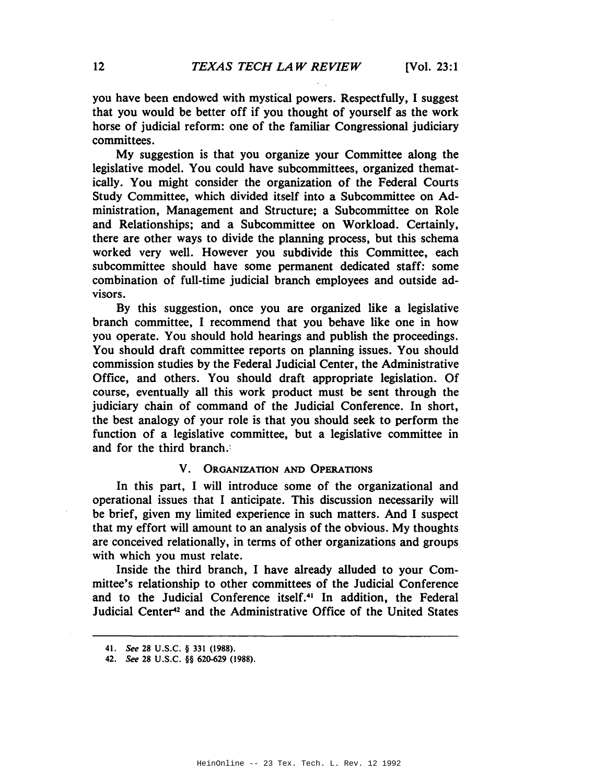you have been endowed with mystical powers. Respectfully, I suggest that you would be better off if you thought of yourself as the work horse of judicial reform: one of the familiar Congressional judiciary committees.

My suggestion is that you organize your Committee along the legislative model. You could have subcommittees, organized thematically. You might consider the organization of the Federal Courts Study Committee, which divided itself into a Subcommittee on Administration, Management and Structure; a Subcommittee on Role and Relationships; and a Subcommittee on Workload. Certainly, there are other ways to divide the planning process, but this schema worked very well. However you subdivide this Committee, each subcommittee should have some permanent dedicated staff: some combination of full-time judicial branch employees and outside advisors.

By this suggestion, once you are organized like a legislative branch committee, I recommend that you behave like one in how you operate. You should hold hearings and publish the proceedings. You should draft committee reports on planning issues. You should commission studies by the Federal Judicial Center, the Administrative Office, and others. You should draft appropriate legislation. Of course, eventually all this work product must be sent through the judiciary chain of command of the Judicial Conference. In short, the best analogy of your role is that you should seek to perform the function of a legislative committee, but a legislative committee in and for the third branch.:

# V. ORGANIZATION AND OPERATIONS

In this part, I will introduce some of the organizational and operational issues that I anticipate. This discussion necessarily will be brief, given my limited experience in such matters. And I suspect that my effort will amount to an analysis of the obvious. My thoughts are conceived relationally, in terms of other organizations and groups with which you must relate.

Inside the third branch, I have already alluded to your Committee's relationship to other committees of the Judicial Conference and to the Judicial Conference itself.<sup>41</sup> In addition, the Federal Judicial Center<sup>42</sup> and the Administrative Office of the United States

<sup>41.</sup> See 28 U.S.C. § 331 (1988).

<sup>42.</sup> See 28 U.S.C. §§ 620-629 (1988).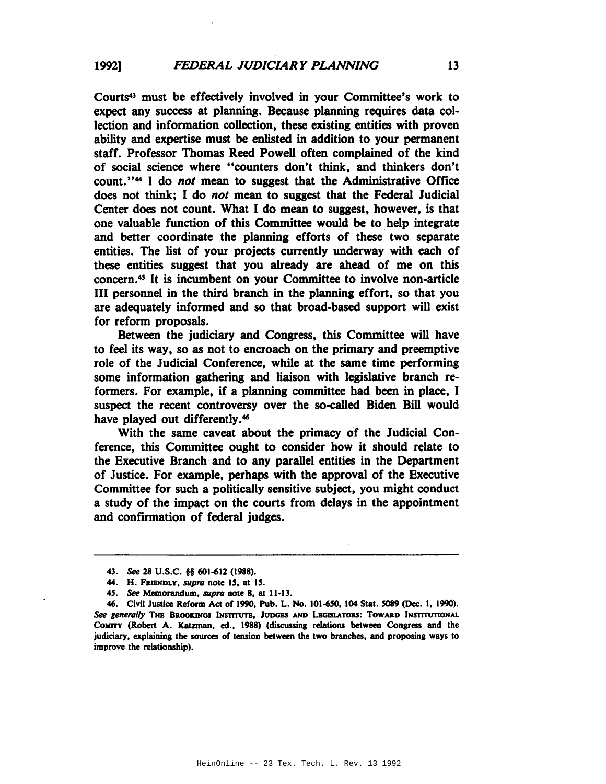COUrts43 must be effectively involved in your Committee's work to expect any success at planning. Because planning requires data collection and information collection, these existing entities with proven ability and expertise must be enlisted in addition to your permanent staff. Professor Thomas Reed Powell often complained of the kind of social science where "counters don't think, and thinkers don't count."44 I do *not* mean to suggest that the Administrative Office does not think; I do *not* mean to suggest that the Federal Judicial Center does not count. What I do mean to suggest, however, is that one valuable function of this Committee would be to. help integrate and better coordinate the planning efforts of these two separate entities. The list of your projects currently underway with each of these entities suggest that you already are ahead of me on this concern.4S It is incumbent on your Committee to involve non-article III personnel in the third branch in the planning effort, so that you are adequately informed and so that broad-based support will exist for reform proposals.

Between the judiciary and Congress, this Committee will have to feel its way, so as not to encroach on the primary and preemptive role of the Judicial Conference, while at the same time performing some information gathering and liaison with legislative branch reformers. For example, if a planning committee had been in place, I suspect the recent controversy over the so-called Biden Bill would have played out differently.<sup>46</sup>

With the same caveat about the primacy of the Judicial Conference, this Committee ought to consider how it should relate to the Executive Branch· and to any parallel entities in the Department of Justice. For example, perhaps with the approval of the Executive Committee for such a politically sensitive subject, you might conduct a study of the impact on the courts from delays in the appointment and confirmation of federal judges.

*<sup>43.</sup> See* 28 U.S.C. §§ 601-612 (1988).

<sup>44.</sup> H. FRIENDLY, *supra* note 15, at 15.

*<sup>4</sup>S. See* Memorandum. *supra* note 8. at 11-13.

<sup>46.</sup> Civil Justice Reform Act of 1990. Pub. L. No. IOI-6S0. 104 Stat. S089 (Dec. I. 1990). See generally THE BROOKINGS INSTITUTE, JUDGES AND LEGISLATORS: TOWARD INSTITUTIONAL CoMITY (Robert A. Katzman. ed., 1988) (discussing relations between Congress and the judiciary. explaining the sources of tension between the two branches. and proposing ways to improve the relationship).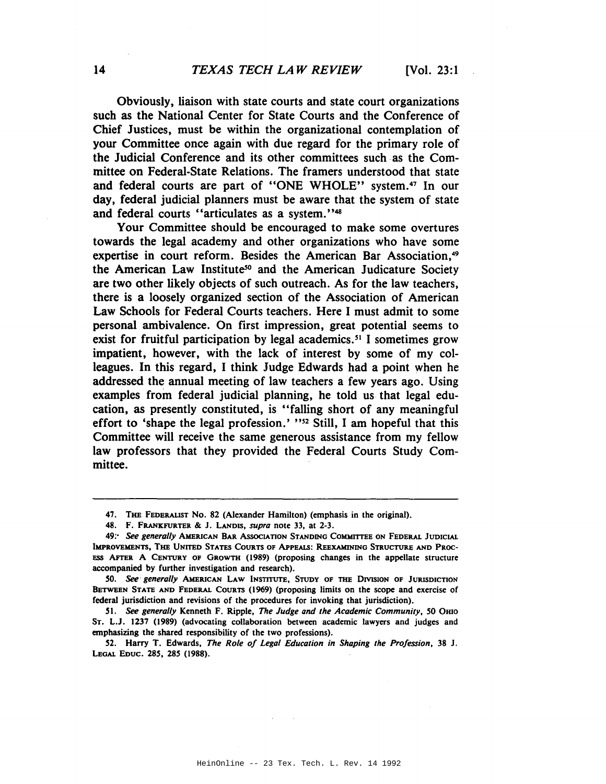Obviously, liaison with state courts and state court organizations such as the National Center for State Courts and the Conference of Chief Justices, must be within the organizational contemplation of your Committee once again with due regard for the primary role of the Judicial Conference and its other committees such as the Committee on Federal-State Relations. The framers understood that state and federal courts are part of "ONE WHOLE" system.47 In our day, federal judicial planners must be aware that the system of state and federal courts "articulates as a system."48

Your Committee should be encouraged to make some overtures towards the legal academy and other organizations who have some expertise in court reform. Besides the American Bar Association,<sup>49</sup> the American Law Institute<sup>50</sup> and the American Judicature Society are two other likely objects of such outreach. As for the law teachers, there is a loosely organized section of the Association of American Law Schools for Federal Courts teachers. Here I must admit to some personal ambivalence. On first impression, great potential seems to exist for fruitful participation by legal academics. <sup>51</sup> I sometimes grow impatient, however, with the lack of interest by some of my colleagues. In this regard, I think Judge Edwards had a point when he addressed the annual meeting of law teachers a few years ago. Using examples from federal judicial planning, he told us that legal education, as presently constituted, is "falling short of any meaningful effort to 'shape the legal profession.' "52 Still, I am hopeful that this Committee will receive the same generous assistance from my fellow law professors that they provided the Federal Courts Study Committee.

<sup>47.</sup> THE FEDERALIST No. 82 (Alexander Hamilton) (emphasis in the original).

<sup>48.</sup> F. FRANKFURTER & J. LANDIS, *supra* note 33, at 2-3.

*<sup>49;&#</sup>x27;* See *generally* AMERICAN BAR AssocIATION STANDING COMMITTEE ON FEDERAL JUDICIAL IMPROVEMENTS. THE UNITED STATES CoURTS OF APPEALS: REEXAMINING STRUCTURE AND PROC-ESS AFTER A CENTURY OF GROWTH (1989) (proposing changes in the appellate structure accompanied by further investigation and research).

SO. See- *generally* AMERICAN LAW INSTITUTE, STUDY OF THE DrvISlON OF JURISDICTION BETWEEN STATE AND FEDERAL COURTS (1969) (proposing limits on the scope and exercise of federal jurisdiction and revisions of the procedures for invoking that jurisdiction).

*<sup>51.</sup>* See *generally* Kenneth F. Ripple, *The Judge and the Academic Community,* 50 OHIO ST. L.J. 1237 (1989) (advocating collaboration between academic lawyers and judges and emphasizing the shared responsibility of the two professions).

<sup>52.</sup> Harry T. Edwards, *The Role of Legal Education in Shaping the Profession,* 38 J. LEGAL EDUC. *285.* 285 (1988).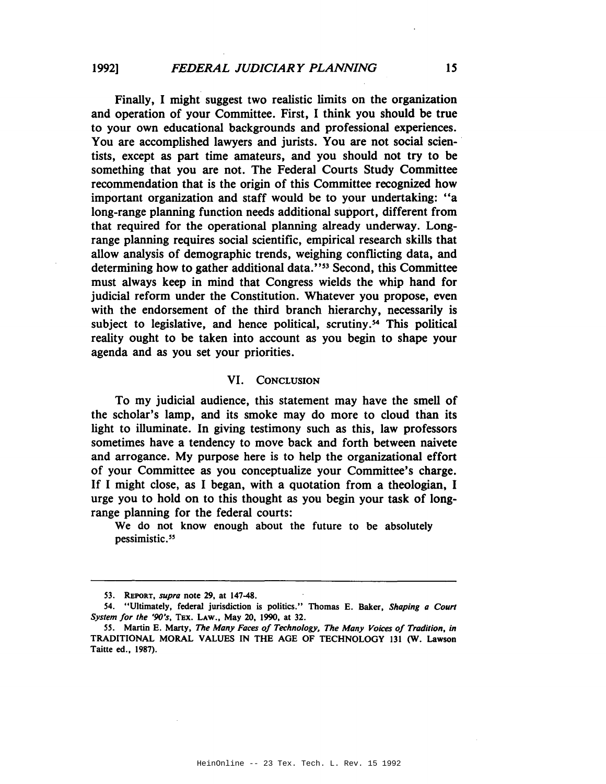Finally, I might suggest two realistic limits on the organization and operation of your Committee. First, I think you should be true to your own educational backgrounds and professional experiences. You are accomplished lawyers and jurists. You are not social scientists, except as part time amateurs, and you should not try to be something that you are not. The Federal Courts Study Committee recommendation that is the origin of this Committee recognized how important organization and staff would be to your undertaking: "a long-range planning function needs additional support, different from that required for the operational planning already underway. Longrange planning requires social scientific, empirical research skills that allow analysis of demographic trends, weighing conflicting data, and determining how to gather additional data."<sup>53</sup> Second, this Committee must always keep in mind that Congress wields the whip hand for judicial reform under the Constitution. Whatever you propose, even with the endorsement of the third branch hierarchy, necessarily is subject to legislative, and hence political, scrutiny.<sup>54</sup> This political reality ought to be taken into account as you begin to shape your agenda and as you set your priorities.

#### VI. CONCLUSION

To my judicial audience, this statement may have the smell of the scholar's lamp, and its smoke may do more to cloud than its light to illuminate. In giving testimony such as this, law professors sometimes have a tendency to move back and forth between naivete and arrogance. My purpose here is to help the organizational effort of your Committee as you conceptualize your Committee's charge. If I might close, as I began, with a quotation from a theologian, I urge you to hold on to this thought as you begin your task of longrange planning for the federal courts:

We do not know enough about the future to be absolutely pessimistic.<sup>55</sup>

<sup>53.</sup> REPORT, *supra* note 29, at 147-48.

<sup>54.</sup> "Ultimately, federal jurisdiction is politics." Thomas E. Baker, *Shaping a Court System for the '90's,* TEx. LAW., May 20, 1990, at 32.

<sup>55.</sup> Martin E. Marty, *The Many Faces of Technology, The Many Voices of Tradition, in* TRADITIONAL MORAL VALUES IN THE AGE OF TECHNOLOGY 131 (W. Lawson Taitte ed., 1987).